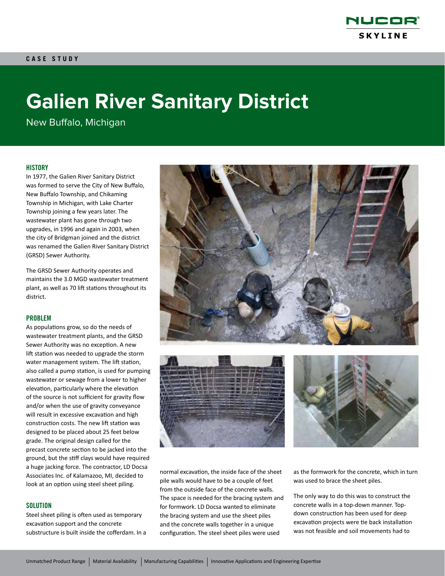

# **Galien River Sanitary District**

New Buffalo, Michigan

## **HISTORY**

In 1977, the Galien River Sanitary District was formed to serve the City of New Buffalo, New Buffalo Township, and Chikaming Township in Michigan, with Lake Charter Township joining a few years later. The wastewater plant has gone through two upgrades, in 1996 and again in 2003, when the city of Bridgman joined and the district was renamed the Galien River Sanitary District (GRSD) Sewer Authority.

The GRSD Sewer Authority operates and maintains the 3.0 MGD wastewater treatment plant, as well as 70 lift stations throughout its district.

#### PROBLEM

As populations grow, so do the needs of wastewater treatment plants, and the GRSD Sewer Authority was no exception. A new lift station was needed to upgrade the storm water management system. The lift station, also called a pump station, is used for pumping wastewater or sewage from a lower to higher elevation, particularly where the elevation of the source is not sufficient for gravity flow and/or when the use of gravity conveyance will result in excessive excavation and high construction costs. The new lift station was designed to be placed about 25 feet below grade. The original design called for the precast concrete section to be jacked into the ground, but the stiff clays would have required a huge jacking force. The contractor, LD Docsa Associates Inc. of Kalamazoo, MI, decided to look at an option using steel sheet piling.

## **SOLUTION**

Steel sheet piling is often used as temporary excavation support and the concrete substructure is built inside the cofferdam. In a







normal excavation, the inside face of the sheet pile walls would have to be a couple of feet from the outside face of the concrete walls. The space is needed for the bracing system and for formwork. LD Docsa wanted to eliminate the bracing system and use the sheet piles and the concrete walls together in a unique configuration. The steel sheet piles were used

as the formwork for the concrete, which in turn was used to brace the sheet piles.

The only way to do this was to construct the concrete walls in a top-down manner. Topdown construction has been used for deep excavation projects were tie back installation was not feasible and soil movements had to